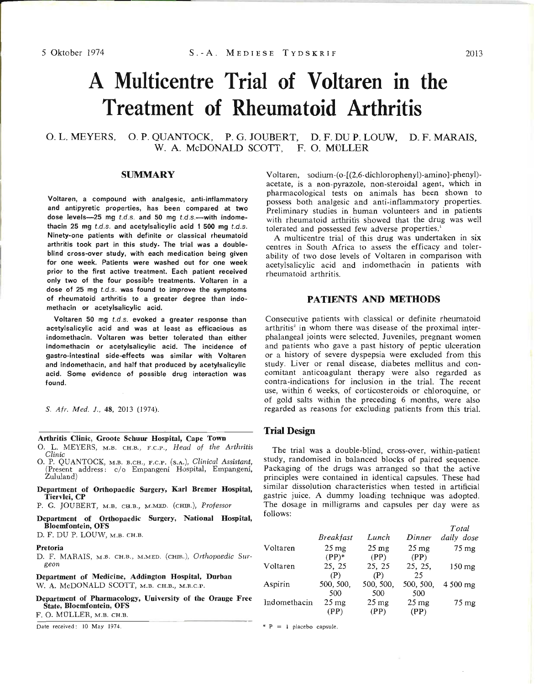# **A Multicentre Trial of Voltaren in the Treatment of Rheumatoid Arthritis**

### O. L. MEYERS, O. P. QUANTOCK, P. G. JOUBERT, D. F. DU P. LOUW, D. F. MARAIS, W. A. McDONALD SCOTT. F. O. MÜLLER

#### **SUMMARY**

Voltaren, a compound with analgesic, anti-inflammatory and antipyretic properties, has been compared at two dose levels-25 mg *t.d.s.* and 50 mg *t.d.s.*-with indomethacin 25 mg *t.d.s.* and acetylsalicylic acid 1 500 mg *t.d.s.* Ninety-one patients with definite or classical rheumatoid arthritis took part in this study. The trial was a doubleblind cross-over study, with each medication being given for one week. Patients were washed out for one week prior to the first active treatment. Each patient received only two of the four possible treatments. Voltaren in a dose of 25 mg *t.d.s.* was found to improve the symptoms of rheumatoid arthritis to a greater degree than indomethacin or acetylsalicylic acid.

Voltaren 50 mg *t.d.s.* evoked a greater response than acetylsalicylic acid and was at least as efficacious as indomethacin. Voltaren was better tolerated than either indomethacin or acetylsalicylic acid. The incidence of gastro-intestinal side-effects was similar with Voltaren and indomethacin, and half that produced by acetylsalicylic acid. Some evidence of possible drug interaction was found.

S. *Afr. Med.* J., 48, 2013 (1974).

#### Arthritis Clinic, Groote Schuur Hospital, Cape Town

- O. L. MEYERS, M.B. CH.B., F.C.P., *Head of the A1thritis Clinic*
- O. P. QUANTOCK, M.B. B.CH., F.C.P. (S.A.), *Clinical Assistant,* (Present address: *clo* Empangeni Hospital, Empangeni, Zululand)
- Department of Orthopaedic Surgery, KarI Bremer Hospital, Tiervlei, CP
- P. G. JOUBERT, M.B. CH.B., M.MED. (CHIR.), *Professor*
- Department of Orthopaedic Surgery, National Hospital, Bloemfontein, OFS

D. F. DU P. LOUW, M.B. CH.B.

#### Pretoria

D. F. MARAIS, M.B. CH.B., M.MED. (CHIR.), Orthopaedic Sur*geon*

Department of Medicine, Addington Hospital, Durban W. A. McDONALD SCOTT, M.B. CH.B., M.R.C.P.

Department of Pharmacology, University of the Orange Free State, Bloemfontein, OFS

F. O. MULLER, M.B. CH.B.

Date received: 10 May 1974.  $\overline{p} = i$  placebo capsule.

Voltaren, sodium-(0-[(2,6-dichlorophenyl)-amino]-phenyl)acetate, is a non-pyrazole, non-steroidal agent, which in pharmacological tests on animals has been shown to possess both analgesic and anti-inflammatory properties. Preliminary studies in human volunteers and in patients with rheumatoid arthritis showed that the drug was well tolerated and possessed few adverse properties.<sup>1</sup>

A multicentre trial of this drug was undertaken in six centres in South Africa to assess the efficacy and tolerability of two dose levels of Voltaren in comparison with acetylsalicylic acid and indomethacin in patients with rheumatoid arthritis.

#### **PATIENTS AND METHODS**

Consecutive patients with classical or definite rheumatoid arthritis<sup>2</sup> in whom there was disease of the proximal interphalangeal joints were selected. Juveniles, pregnant women and patients who gave a past history of peptic ulceration or a history of severe dyspepsia were excluded from this study. Liver or renal disease, diabetes mellitus and concomitant anticoagulant therapy were also regarded as contra-indications for inclusion in the trial. The recent use, within 6 weeks, of corticosteroids or chloroquine, or of gold salts within the preceding 6 months, were also regarded as reasons for excluding patients from this trial.

#### **Trial Design**

The trial was a double-blind, cross-over, within-patient study, randomised in balanced blocks of paired sequence. Packaging of the drugs was arranged so that the active principles were contained in identical capsules. These had similar dissolution characteristics when tested in artificial gastric juice. A dummy loading technique was adopted. The dosage in milligrams and capsules per day were as follows:

|              |                    |                    |                    | Total              |
|--------------|--------------------|--------------------|--------------------|--------------------|
|              | <b>Breakfast</b>   | Lunch              | Dinner             | daily dose         |
| Voltaren     | $25 \,\mathrm{mg}$ | $25 \,\mathrm{mg}$ | $25 \,\mathrm{mg}$ | $75 \,\mathrm{mg}$ |
|              | $(PP)^*$           | (PP)               | (PP)               |                    |
| Voltaren     | 25, 25             | 25, 25             | 25, 25,            | $150$ mg           |
|              | (P)                | (P)                | 25                 |                    |
| Aspirin      | 500, 500,          | 500, 500,          | 500, 500,          | 4 500 mg           |
|              | 500                | 500                | 500                |                    |
| Indomethacin | $25 \,\mathrm{mg}$ | $25 \,\mathrm{mg}$ | $25 \,\mathrm{mg}$ | $75 \text{ mg}$    |
|              | (PP)               | (PP)               | (PP)               |                    |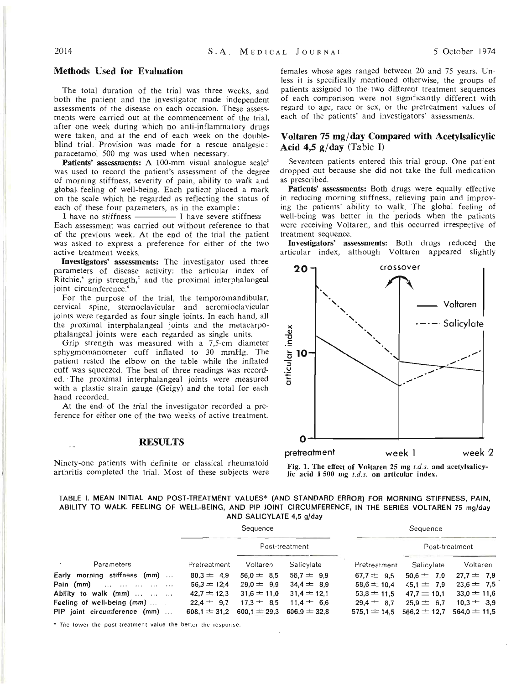## Methods Used for Evaluation

The total duration of the trial was three weeks, and both the patient and the investigator made independent assessments of the disease on each occasion. These assessments were carried out at the commencement of the trial, after one week during which no anti-inflammatory drugs were taken, and at the end of each week on the doubleblind trial. Provision was made for a rescue analgesic: paracetamol 500 mg was used when necessary.

Patients' assessments: A 100-mm visual analogue scale<sup>3</sup> was used to record the patient's assessment of the degree of morning stiffness, severity of pain, ability to walk and global, feeling of well-being. Each patient placed a mark on the scale which he regarded as reflecting the status of each of these four parameters, as in the example:

I have no stiffness — I have severe stiffness Each assessment was carried out without reference to that of the previous week. At the end of the trial the patient was asked to express a preference for either of the two active treatment weeks.

Investigators' assessments: The investigator used three parameters of disease activity: the articular index of Ritchie,<sup>4</sup> grip strength,<sup>3</sup> and the proximal interphalangeal joint circumference.<sup>6</sup>

For the purpose of the trial, the temporomandibular, cervical spine, sternoclavicular and acromioclavicular joints were regarded as four single joints. In each hand, all the proximal interphalangeal joints and the metacarpophalangeal joints were each regarded as single units.

Grip strength was measured with a 7,5-cm diameter sphygmomanometer cuff inflated to 30 mmHg. The patient rested the elbow on the table while the inflated cuff was squeezed. The best of three readings was recorded."The proximal interphalangeal joints were measured with a plastic strain gauge (Geigy) and the total for each hand recorded.

At the end, of the trial the investigator recorded a preference for either one of the two weeks of active treatment.

#### **RESULTS**

Ninety-one patients with definite or classical rheumatoid arthritis completed the trial. Most of these subjects were females whose ages ranged between 20 and 75 years. Unless it is specifically mentioned otherwise, the groups of patients assigned to the two different treatment sequences of each comparison were not significantly different with regard to age, race or sex, or the pretreatment values of each of the patients' and investigators' assessments.

#### Voltaren 75 mg/day Compared with Acetylsalicylic Acid 4,5  $g$ /day (Table I)

Seventeen patients entered this trial group. One patient dropped out because she did not take the full medication as prescribed.

Patients' assessments: Both drugs were equally effective in reducing morning stiffness, relieving pain and improving the patients' ability to walk. The global feeling of well-being was better in the periods when the patients were receiving Voltaren, and this occurred irrespective of treatment sequence.

Investigators' assessments: Both drugs reduced the articular index, although Voltaren appeared slightly



Fig. 1. The effect of Voltaren 25 mg *t.d.s.* and acetylsalicylic acid 1 500 mg *t.d.s.* on articular index.

#### TABLE I. MEAN INITIAL AND POST-TREATMENT VALUES\* (AND STANDARD ERROR) FOR MORNING STIFFNESS, PAIN, ABILITY TO WALK, FEELING OF WELL-BEING, AND PIP JOINT CIRCUMFERENCE, IN THE SERIES VOLTAREN 75 mg/day AND SALICYLATE 4,5 g/day

|                              | Sequence        |                                   |                |                 | Sequence               |                  |  |
|------------------------------|-----------------|-----------------------------------|----------------|-----------------|------------------------|------------------|--|
|                              |                 | Post-treatment                    |                |                 | Post-treatment         |                  |  |
| Parameters                   | Pretreatment    | Voltaren                          | Salicylate     | Pretreatment    | Salicylate             | Voltaren         |  |
| Early morning stiffness (mm) | $80.3 = 4.9$    | $56.0 = 8.5$                      | $56.7 = 9.9$   | $67.7 = 9.5$    | $50.6 = 7.0$           | $27.7 = 7.9$     |  |
| Pain (mm)                    | $56.3 \pm 12.4$ | $29.0 = 9.9$                      | $34.4 \pm 8.9$ | $58.6 \pm 10.4$ | $\frac{45,1}{ }$ = 7.9 | $23.6 = 7.5$     |  |
| Ability to walk (mm)         | $42.7 = 12.3$   | $31.6 \pm 11.0$                   | $31,4 = 12,1$  | $53.8 \pm 11.5$ | $47.7 \pm 10.1$        | $33.0 \pm 11.6$  |  |
| Feeling of well-being (mm)   | $22.4 = 9.7$    | $17.3 = 8.5$                      | $11.4 = 6.6$   | $29.4 = 8.7$    | $25.9 = 6.7$           | $10.3 = 3.9$     |  |
| PIP joint circumference (mm) | $608.1 = 31.2$  | $600.1 \pm 29.3$ $606.9 \pm 32.8$ |                | $575.1 = 14.5$  | $566.2 \pm 12.7$       | $564.0 \pm 11.5$ |  |

\* The lower the post-treatment value the better the response.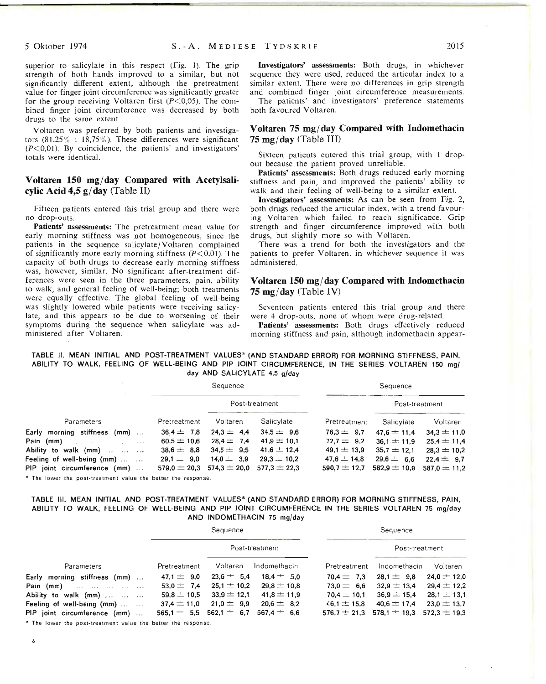superior to salicylate in this respect (Fig. 1). The grip strength of both hands improved to a similar, but not significantly different extent, although the pretreatment value for finger joint circumference was significantly greater for the group receiving Voltaren first  $(P<0.05)$ . The combined finger joint circumference was decreased by both drugs to the same extent.

Voltaren was preferred by both patients and investigators  $(81,25\% : 18,75\%)$ . These differences were significant  $(P<0,01)$ . By coincidence, the patients' and investigators' totals were identical.

#### Voltaren 150 mg/day Compared with Acetylsalicylic Acid  $4.5 g/day$  (Table II)

Fifteen patients entered this trial group and there were no drop-outs.

Patients' assessments: The pretreatment mean value for early morning stiffness was not homogeneous, since the patients in the sequence salicylate/Voltaren complained of significantly more early morning stiffness  $(P<0.01)$ . The capacity of both drugs to decrease early morning stiffness was, however, similar. No significant after-treatment differences were seen in the three parameters, pain, ability to walk, and general feeling of well-being; both treatments were equally effective. The global feeling of well-being was slightly lowered while patients were receiving salicylate, and this appears to be due to worsening of their symptoms during the sequence when salicylate was administered after Voltaren.

Investigators' assessments: Both drugs, in whichever sequence they were used, reduced the articular index to a similar extent. There were no differences in grip strength and combined finger joint circumference measurements.

The patients' and investigators' preference statements both favoured Voltaren.

#### Voltaren  $75 \text{ mg/day}$  Compared with Indomethacin  $75 \text{ mg/day}$  (Table III)

Sixteen patients entered this trial group, with I dropout because the patient proved unreliable.

Patients' assessments: Both drugs reduced early morning stiffness and pain, and improved the patients' ability to walk and their feeling of well-being to a similar extent.

Investigators' assessments: As can be seen from Fig. 2, both drugs reduced the articular index, with a trend favouring Voltaren which failed to reach significance. Grip strength and finger circumference improved with both drugs, but slightly more so with Voltaren.

There was a trend for both the investigators and the patients to prefer Voltaren, in whichever sequence it was administered.

#### Voltaren  $150 \text{ mg/day}$  Compared with Indomethacin 75 mg/day (Table IV)

Seventeen patients entered this trial group and there were 4 drop-outs, none of whom were drug-related.

Patients' assessments: Both drugs effectively reduced morning stiffness and pain, although indomethacin appear-·

#### TABLE 11. MEAN INITIAL AND POST-TREATMENT VALUES\* (AND STANDARD ERROR) FOR MORNING STIFFNESS, PAIN, ABILITY TO WALK, FEELING OF WELL-BEING AND PIP JOINT CIRCUMFERENCE, IN THE SERIES VOLTAREN 150 mg/ day AND SALICYLATE 4,5 g/day

|                              | Sequence        |                                                    |                 |                 | Sequence         |                  |  |
|------------------------------|-----------------|----------------------------------------------------|-----------------|-----------------|------------------|------------------|--|
|                              |                 | Post-treatment                                     |                 |                 | Post-treatment   |                  |  |
| Parameters                   | Pretreatment    | Voltaren                                           | Salicylate      | Pretreatment    | Salicylate       | Voltaren         |  |
| Early morning stiffness (mm) | $36.4 \pm 7.8$  | $24.3 = 4.4$                                       | $34.5 = 9.6$    | $76.3 = 9.7$    | $47.6 \pm 11.4$  | $34.3 \pm 11.0$  |  |
| Pain (mm)                    | 60.5 $\pm$ 10.6 | $28.4 = 7.4$                                       | $41.9 = 10.1$   | $72.7 = 9.2$    | $36.1 \pm 11.9$  | $25.4 \pm 11.4$  |  |
| Ability to walk (mm)         | $38.6 = 8.8$    | $34.5 = 9.5$                                       | $41.6 \pm 12.4$ | $49.1 \pm 13.9$ | $35.7 = 12.1$    | $28.3 \pm 10.2$  |  |
| Feeling of well-being (mm)   | $29.1 = 9.0$    | $14.0 = 3.9$                                       | $29.3 \pm 10.2$ | $47.6 \pm 14.8$ | $29.6 = 6.6$     | $22.4 = 9.7$     |  |
| PIP joint circumference (mm) |                 | $579.0 \pm 20.3$ $574.3 \pm 20.0$ $577.3 \pm 22.3$ |                 | $590.7 = 12.7$  | 582,9 $\pm$ 10,9 | $587.0 \pm 11.2$ |  |
|                              |                 |                                                    |                 |                 |                  |                  |  |

\* The lower the post-treatment value the better the response.

#### TABLE Ill. MEAN INITIAL AND POST-TREATMENT VALUES\* (AND STANDARD ERROR) FOR MORNING STIFFNESS, PAIN, ABILITY TO WALK, FEELING OF WELL-BEING AND PIP JOINT CIRCUMFERENCE IN THE SERIES VOLTAREN 75 mg/day AND INDOMETHACIN 75 mg/day

| Sequence        |                |                 |                                 | Sequence                          |                 |  |
|-----------------|----------------|-----------------|---------------------------------|-----------------------------------|-----------------|--|
|                 | Post-treatment |                 |                                 | Post-treatment                    |                 |  |
| Pretreatment    | Voltaren       | Indomethacin    | Pretreatment                    | Indomethacin                      | Voltaren        |  |
| $47.1 = 9.0$    |                | $18.4 = 5.0$    | $70.4 = 7.3$                    | $28.1 = 9.8$                      | $24.0 = 12.0$   |  |
| $53.0 = 7.4$    |                | $29.8 = 10.8$   | $73.0 = 6.6$                    | $32.9 = 13.4$                     | $29.4 \pm 12.2$ |  |
| $59.8 \pm 10.5$ | $33.9 = 12.1$  | $41.8 \pm 11.9$ | $70.4 \pm 10.1$                 | $36.9 = 15.4$                     | $28.1 = 13.1$   |  |
| $37.4 = 11.0$   | $21.0 = 9.9$   | $20.6 = 8.2$    | $\le 6.1 = 15.8$                | $40.6 = 17.4$                     | $23.0 = 13.7$   |  |
|                 | $562.1 = 6.7$  | $567.4 = 6.6$   | $576.7 \pm 21.3$                | $578.1 \pm 19.3$ $572.3 \pm 19.3$ |                 |  |
|                 |                | $565.1 = 5.5$   | $23.6 = 5.4$<br>$25.1 \pm 10.2$ |                                   |                 |  |

\* The lower the post-treatment value the better the response

6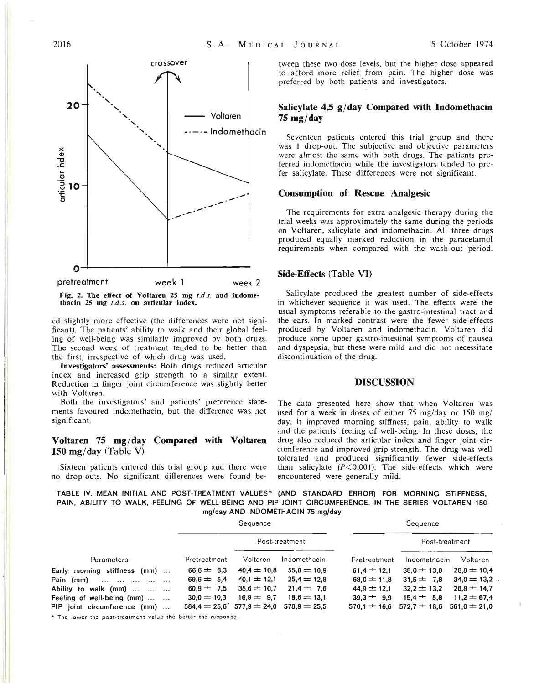

Fig. 2. The effect of Voltaren  $25$  mg  $t.d.s.$  and indomethacin  $25 \text{ mg } t.d.s.$  on articular index.

ed slightly more effective (the differences were not significant). The patients' ability to walk and their global feeling of well-being was similarly improved by both drugs. The second week of treatment tended to be better than the first, irrespective of which drug was used.

Investigators' assessments: Both drugs reduced articular index and increased grip strength to a similar extent. Reduction in finger joint circumference was slightly better with Voltaren.

Both the investigators' and patients' preference statements favoured indomethacin, but the difference was not significant.

#### Voltaren 75 mg/day Compared with Voltaren 150 mg/day (Table V)

Sixteen patients entered this trial group and there were no drop-outs. No significant differences were found between these two dose levels, but the higher dose appeared to afford more relief from pain. The higher dose was preferred by both patients and investigators.

#### Salicylate  $4.5$  g/day Compared with Indomethacin  $75 \text{ mg/day}$

Seventeen patients entered this trial group and there was 1 drop-out. The subjective and objective parameters were almost the same with both drugs. The patients preferred indomethacin while the investigators tended to prefer salicylate. These differences were not significant.

#### Consumption of Rescue Analgesic

The requirements for extra analgesic therapy during the trial weeks was approximately the same during the periods on Voltaren, salicylate and indomethacin. All three drugs produced equally marked reduction in the paracetamol requirements when compared with the wash-out period.

#### Side-Effects (Table VI)

Salicylate produced the greatest number of side-effects in whichever sequence it was used. The effects were the usual symptoms referable to the gastro-intestinal tract and the ears. In marked contrast were the fewer side-effects produced by Voltaren and indomethacin. Voltaren did produce some upper gastro-intestinal symptoms of nausea and dyspepsia, but these were mild and did not necessitate discontinuation of the drug.

#### DISCUSSION

The data presented here show that when Voltaren was used for a week in doses of either 75 mg/day or 150 mg/ day, it improved morning stiffness, pain, ability to walk and the patients' feeling of well-being. In these doses, the drug also reduced the articular index and finger joint circumference and improved grip strength. The drug was well tolerated and produced significantly fewer side-effects than salicylate  $(P<0,001)$ . The side-effects which were encountered were generally mild.

#### TABLE IV. MEAN INITIAL AND POST·TREATMENT VALUES\* (AND STANDARD ERROR) FOR MORNING STIFFNESS, PAIN, ABILITY TO WALK, FEELING OF WELL-BEING AND PIP JOINT CIRCUMFERENCE, IN THE SERIES VOLTAREN 150 mg/day AND INDOMETHACIN 75 mg/day

Sequence Sequence Sequence Post-treatment Post-treatment Parameters Pretreatment Voltaren Indomethacin Pretreatment Indomethacin Voltaren Early morning stiffness (mm)  $\ldots$  66,6  $\pm$  8,3 40,4  $\pm$  10,8 55,0  $\pm$  10,9 61,4  $\pm$  12,1 38,0  $\pm$  13,0 28,8  $\pm$  10,4 Pain (mm)  $\ldots$   $\ldots$   $\ldots$   $\ldots$   $\ldots$   $69,6 \pm 5,4$  40,1  $\pm$  12,1 25,4  $\pm$  12,8 68,0  $\pm$  11,8 31,5  $\pm$  7,8 34,0  $\pm$  13,2 Ability to walk (mm) ... ... ... 60,9  $\pm$  7,5 35,6  $\pm$  10,7 21,4  $\pm$  7,6 44,9  $\pm$  12,1 32,2  $\pm$  13,2 26,8  $\pm$  14,7 Feeling of well-being (mm)  $\ldots$   $\ldots$  30,0  $\pm$  10,3 16,9  $\pm$  9,7 18,6  $\pm$  13,1 39,3  $\pm$  9,9 15,4  $\pm$  5,8 11,2  $\pm$  67,4 PIP joint circumference (mm)  $\ldots$  584,4  $\pm$  25,6 $\degree$  577,9  $\pm$  24,0 578,9  $\pm$  25,5 570,1  $\pm$  16,6 572,7  $\pm$  18,6 561,0  $\pm$  21,0

\* The lower the post-treatment value the better the response.